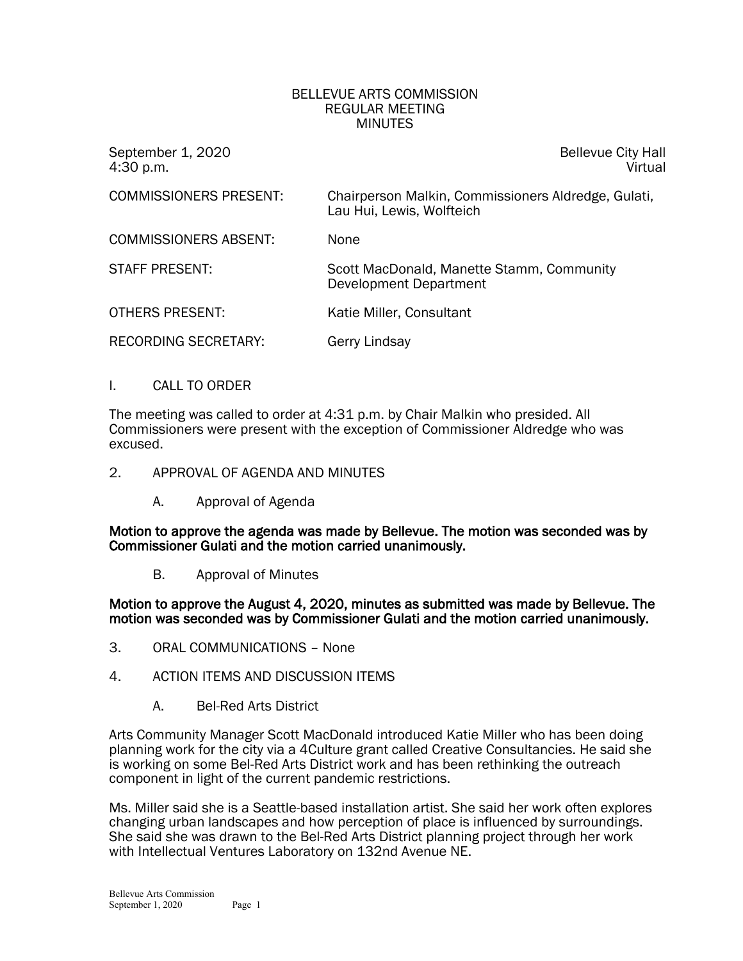#### BELLEVUE ARTS COMMISSION REGULAR MEETING **MINUTES**

September 1, 2020 Bellevue City Hall

4:30 p.m. Virtual

| <b>COMMISSIONERS PRESENT:</b> | Chairperson Malkin, Commissioners Aldredge, Gulati,<br>Lau Hui, Lewis, Wolfteich |
|-------------------------------|----------------------------------------------------------------------------------|
| <b>COMMISSIONERS ABSENT:</b>  | <b>None</b>                                                                      |
| <b>STAFF PRESENT:</b>         | Scott MacDonald, Manette Stamm, Community<br>Development Department              |
| <b>OTHERS PRESENT:</b>        | Katie Miller, Consultant                                                         |
| <b>RECORDING SECRETARY:</b>   | Gerry Lindsay                                                                    |

## I. CALL TO ORDER

The meeting was called to order at 4:31 p.m. by Chair Malkin who presided. All Commissioners were present with the exception of Commissioner Aldredge who was excused.

- 2. APPROVAL OF AGENDA AND MINUTES
	- A. Approval of Agenda

Motion to approve the agenda was made by Bellevue. The motion was seconded was by Commissioner Gulati and the motion carried unanimously.

B. Approval of Minutes

Motion to approve the August 4, 2020, minutes as submitted was made by Bellevue. The motion was seconded was by Commissioner Gulati and the motion carried unanimously.

- 3. ORAL COMMUNICATIONS None
- 4. ACTION ITEMS AND DISCUSSION ITEMS
	- A. Bel-Red Arts District

Arts Community Manager Scott MacDonald introduced Katie Miller who has been doing planning work for the city via a 4Culture grant called Creative Consultancies. He said she is working on some Bel-Red Arts District work and has been rethinking the outreach component in light of the current pandemic restrictions.

Ms. Miller said she is a Seattle-based installation artist. She said her work often explores changing urban landscapes and how perception of place is influenced by surroundings. She said she was drawn to the Bel-Red Arts District planning project through her work with Intellectual Ventures Laboratory on 132nd Avenue NE.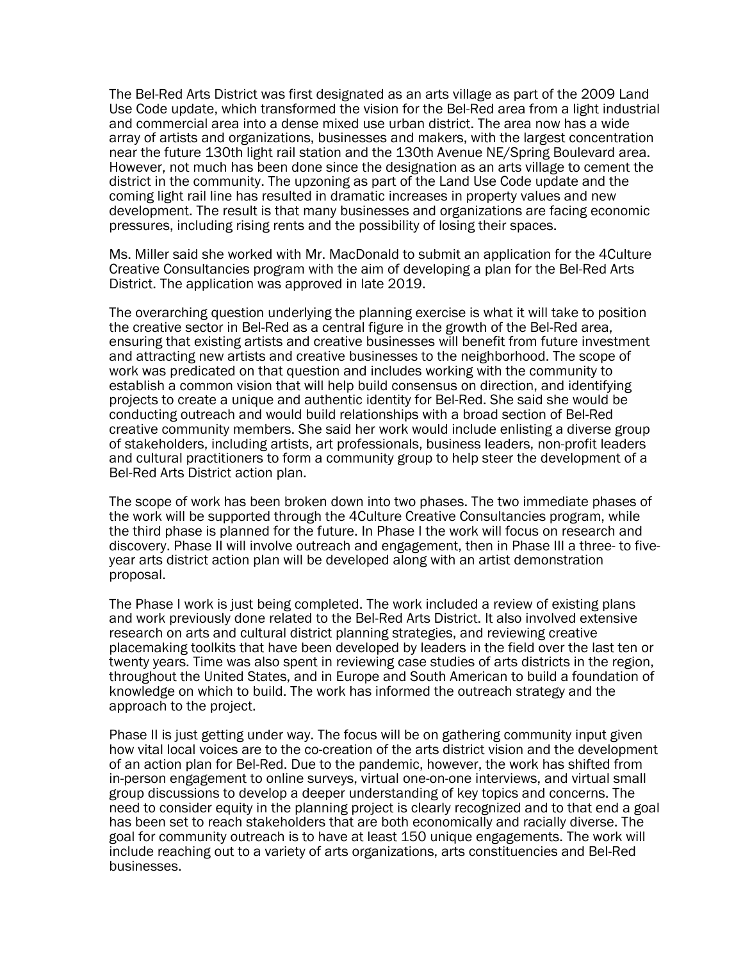The Bel-Red Arts District was first designated as an arts village as part of the 2009 Land Use Code update, which transformed the vision for the Bel-Red area from a light industrial and commercial area into a dense mixed use urban district. The area now has a wide array of artists and organizations, businesses and makers, with the largest concentration near the future 130th light rail station and the 130th Avenue NE/Spring Boulevard area. However, not much has been done since the designation as an arts village to cement the district in the community. The upzoning as part of the Land Use Code update and the coming light rail line has resulted in dramatic increases in property values and new development. The result is that many businesses and organizations are facing economic pressures, including rising rents and the possibility of losing their spaces.

Ms. Miller said she worked with Mr. MacDonald to submit an application for the 4Culture Creative Consultancies program with the aim of developing a plan for the Bel-Red Arts District. The application was approved in late 2019.

The overarching question underlying the planning exercise is what it will take to position the creative sector in Bel-Red as a central figure in the growth of the Bel-Red area, ensuring that existing artists and creative businesses will benefit from future investment and attracting new artists and creative businesses to the neighborhood. The scope of work was predicated on that question and includes working with the community to establish a common vision that will help build consensus on direction, and identifying projects to create a unique and authentic identity for Bel-Red. She said she would be conducting outreach and would build relationships with a broad section of Bel-Red creative community members. She said her work would include enlisting a diverse group of stakeholders, including artists, art professionals, business leaders, non-profit leaders and cultural practitioners to form a community group to help steer the development of a Bel-Red Arts District action plan.

The scope of work has been broken down into two phases. The two immediate phases of the work will be supported through the 4Culture Creative Consultancies program, while the third phase is planned for the future. In Phase I the work will focus on research and discovery. Phase II will involve outreach and engagement, then in Phase III a three- to fiveyear arts district action plan will be developed along with an artist demonstration proposal.

The Phase I work is just being completed. The work included a review of existing plans and work previously done related to the Bel-Red Arts District. It also involved extensive research on arts and cultural district planning strategies, and reviewing creative placemaking toolkits that have been developed by leaders in the field over the last ten or twenty years. Time was also spent in reviewing case studies of arts districts in the region, throughout the United States, and in Europe and South American to build a foundation of knowledge on which to build. The work has informed the outreach strategy and the approach to the project.

Phase II is just getting under way. The focus will be on gathering community input given how vital local voices are to the co-creation of the arts district vision and the development of an action plan for Bel-Red. Due to the pandemic, however, the work has shifted from in-person engagement to online surveys, virtual one-on-one interviews, and virtual small group discussions to develop a deeper understanding of key topics and concerns. The need to consider equity in the planning project is clearly recognized and to that end a goal has been set to reach stakeholders that are both economically and racially diverse. The goal for community outreach is to have at least 150 unique engagements. The work will include reaching out to a variety of arts organizations, arts constituencies and Bel-Red businesses.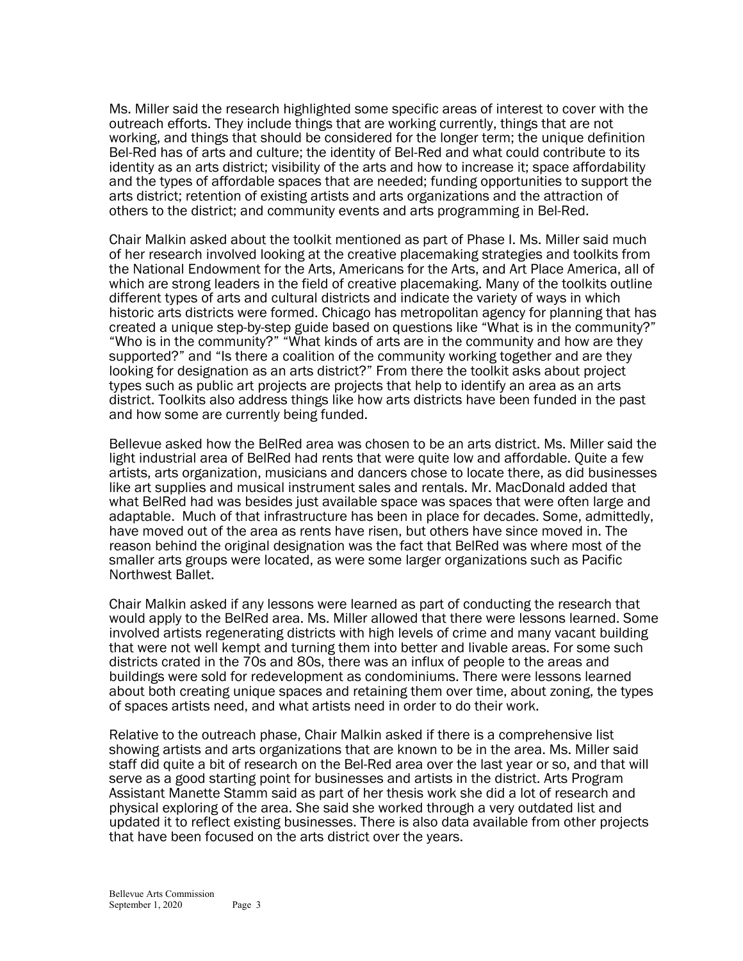Ms. Miller said the research highlighted some specific areas of interest to cover with the outreach efforts. They include things that are working currently, things that are not working, and things that should be considered for the longer term; the unique definition Bel-Red has of arts and culture; the identity of Bel-Red and what could contribute to its identity as an arts district; visibility of the arts and how to increase it; space affordability and the types of affordable spaces that are needed; funding opportunities to support the arts district; retention of existing artists and arts organizations and the attraction of others to the district; and community events and arts programming in Bel-Red.

Chair Malkin asked about the toolkit mentioned as part of Phase I. Ms. Miller said much of her research involved looking at the creative placemaking strategies and toolkits from the National Endowment for the Arts, Americans for the Arts, and Art Place America, all of which are strong leaders in the field of creative placemaking. Many of the toolkits outline different types of arts and cultural districts and indicate the variety of ways in which historic arts districts were formed. Chicago has metropolitan agency for planning that has created a unique step-by-step guide based on questions like "What is in the community?" "Who is in the community?" "What kinds of arts are in the community and how are they supported?" and "Is there a coalition of the community working together and are they looking for designation as an arts district?" From there the toolkit asks about project types such as public art projects are projects that help to identify an area as an arts district. Toolkits also address things like how arts districts have been funded in the past and how some are currently being funded.

Bellevue asked how the BelRed area was chosen to be an arts district. Ms. Miller said the light industrial area of BelRed had rents that were quite low and affordable. Quite a few artists, arts organization, musicians and dancers chose to locate there, as did businesses like art supplies and musical instrument sales and rentals. Mr. MacDonald added that what BelRed had was besides just available space was spaces that were often large and adaptable. Much of that infrastructure has been in place for decades. Some, admittedly, have moved out of the area as rents have risen, but others have since moved in. The reason behind the original designation was the fact that BelRed was where most of the smaller arts groups were located, as were some larger organizations such as Pacific Northwest Ballet.

Chair Malkin asked if any lessons were learned as part of conducting the research that would apply to the BelRed area. Ms. Miller allowed that there were lessons learned. Some involved artists regenerating districts with high levels of crime and many vacant building that were not well kempt and turning them into better and livable areas. For some such districts crated in the 70s and 80s, there was an influx of people to the areas and buildings were sold for redevelopment as condominiums. There were lessons learned about both creating unique spaces and retaining them over time, about zoning, the types of spaces artists need, and what artists need in order to do their work.

Relative to the outreach phase, Chair Malkin asked if there is a comprehensive list showing artists and arts organizations that are known to be in the area. Ms. Miller said staff did quite a bit of research on the Bel-Red area over the last year or so, and that will serve as a good starting point for businesses and artists in the district. Arts Program Assistant Manette Stamm said as part of her thesis work she did a lot of research and physical exploring of the area. She said she worked through a very outdated list and updated it to reflect existing businesses. There is also data available from other projects that have been focused on the arts district over the years.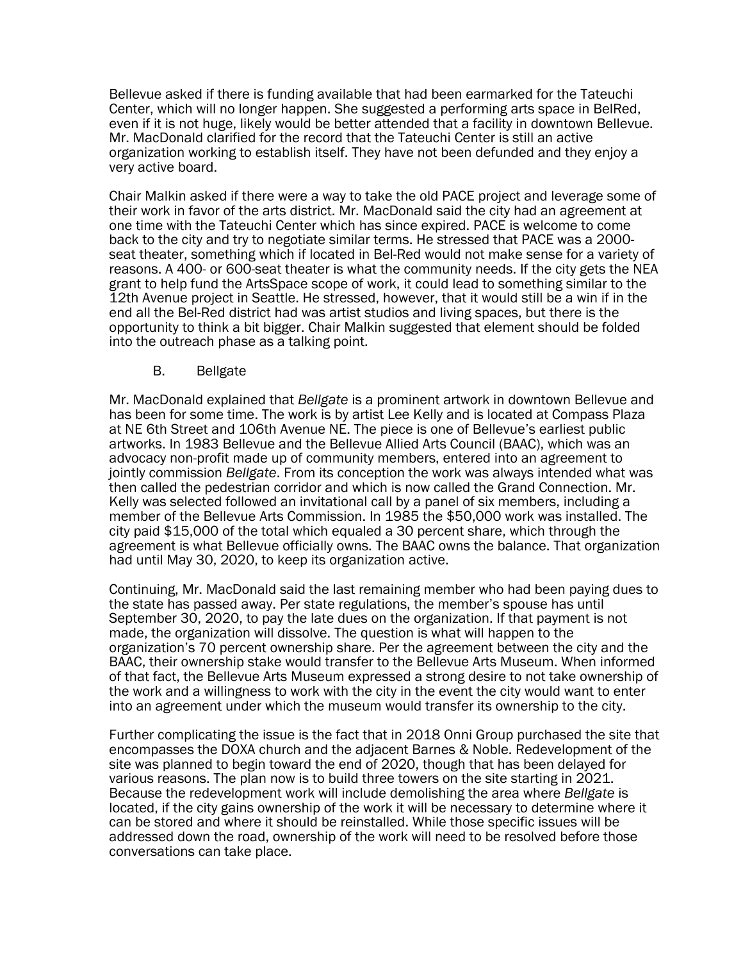Bellevue asked if there is funding available that had been earmarked for the Tateuchi Center, which will no longer happen. She suggested a performing arts space in BelRed, even if it is not huge, likely would be better attended that a facility in downtown Bellevue. Mr. MacDonald clarified for the record that the Tateuchi Center is still an active organization working to establish itself. They have not been defunded and they enjoy a very active board.

Chair Malkin asked if there were a way to take the old PACE project and leverage some of their work in favor of the arts district. Mr. MacDonald said the city had an agreement at one time with the Tateuchi Center which has since expired. PACE is welcome to come back to the city and try to negotiate similar terms. He stressed that PACE was a 2000-<br>seat theater, something which if located in Bel-Red would not make sense for a variety of reasons. A 400- or 600-seat theater is what the community needs. If the city gets the NEA grant to help fund the ArtsSpace scope of work, it could lead to something similar to the 12th Avenue project in Seattle. He stressed, however, that it would still be a win if in the end all the Bel-Red district had was artist studios and living spaces, but there is the opportunity to think a bit bigger. Chair Malkin suggested that element should be folded into the outreach phase as a talking point.

B. Bellgate

Mr. MacDonald explained that *Bellgate* is a prominent artwork in downtown Bellevue and has been for some time. The work is by artist Lee Kelly and is located at Compass Plaza at NE 6th Street and 106th Avenue NE. The piece is one of Bellevue's earliest public artworks. In 1983 Bellevue and the Bellevue Allied Arts Council (BAAC), which was an advocacy non-profit made up of community members, entered into an agreement to jointly commission *Bellgate*. From its conception the work was always intended what was then called the pedestrian corridor and which is now called the Grand Connection. Mr. Kelly was selected followed an invitational call by a panel of six members, including a member of the Bellevue Arts Commission. In 1985 the \$50,000 work was installed. The city paid \$15,000 of the total which equaled a 30 percent share, which through the agreement is what Bellevue officially owns. The BAAC owns the balance. That organization had until May 30, 2020, to keep its organization active.

Continuing, Mr. MacDonald said the last remaining member who had been paying dues to the state has passed away. Per state regulations, the member's spouse has until September 30, 2020, to pay the late dues on the organization. If that payment is not made, the organization will dissolve. The question is what will happen to the organization's 70 percent ownership share. Per the agreement between the city and the BAAC, their ownership stake would transfer to the Bellevue Arts Museum. When informed of that fact, the Bellevue Arts Museum expressed a strong desire to not take ownership of the work and a willingness to work with the city in the event the city would want to enter into an agreement under which the museum would transfer its ownership to the city.

Further complicating the issue is the fact that in 2018 Onni Group purchased the site that encompasses the DOXA church and the adjacent Barnes & Noble. Redevelopment of the site was planned to begin toward the end of 2020, though that has been delayed for various reasons. The plan now is to build three towers on the site starting in 2021. Because the redevelopment work will include demolishing the area where *Bellgate* is located, if the city gains ownership of the work it will be necessary to determine where it can be stored and where it should be reinstalled. While those specific issues will be addressed down the road, ownership of the work will need to be resolved before those conversations can take place.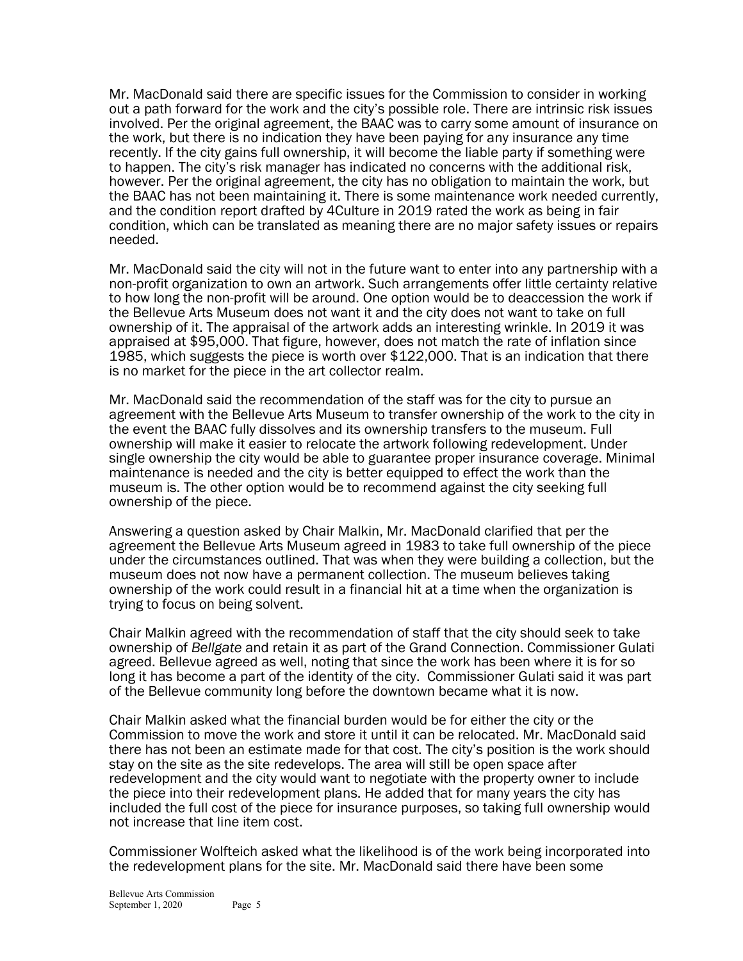Mr. MacDonald said there are specific issues for the Commission to consider in working out a path forward for the work and the city's possible role. There are intrinsic risk issues involved. Per the original agreement, the BAAC was to carry some amount of insurance on the work, but there is no indication they have been paying for any insurance any time recently. If the city gains full ownership, it will become the liable party if something were to happen. The city's risk manager has indicated no concerns with the additional risk, however. Per the original agreement, the city has no obligation to maintain the work, but the BAAC has not been maintaining it. There is some maintenance work needed currently, and the condition report drafted by 4Culture in 2019 rated the work as being in fair condition, which can be translated as meaning there are no major safety issues or repairs needed.

Mr. MacDonald said the city will not in the future want to enter into any partnership with a non-profit organization to own an artwork. Such arrangements offer little certainty relative to how long the non-profit will be around. One option would be to deaccession the work if the Bellevue Arts Museum does not want it and the city does not want to take on full ownership of it. The appraisal of the artwork adds an interesting wrinkle. In 2019 it was appraised at \$95,000. That figure, however, does not match the rate of inflation since 1985, which suggests the piece is worth over \$122,000. That is an indication that there is no market for the piece in the art collector realm.

Mr. MacDonald said the recommendation of the staff was for the city to pursue an agreement with the Bellevue Arts Museum to transfer ownership of the work to the city in the event the BAAC fully dissolves and its ownership transfers to the museum. Full ownership will make it easier to relocate the artwork following redevelopment. Under single ownership the city would be able to guarantee proper insurance coverage. Minimal maintenance is needed and the city is better equipped to effect the work than the museum is. The other option would be to recommend against the city seeking full ownership of the piece.

Answering a question asked by Chair Malkin, Mr. MacDonald clarified that per the agreement the Bellevue Arts Museum agreed in 1983 to take full ownership of the piece under the circumstances outlined. That was when they were building a collection, but the museum does not now have a permanent collection. The museum believes taking ownership of the work could result in a financial hit at a time when the organization is trying to focus on being solvent.

Chair Malkin agreed with the recommendation of staff that the city should seek to take ownership of *Bellgate* and retain it as part of the Grand Connection. Commissioner Gulati agreed. Bellevue agreed as well, noting that since the work has been where it is for so long it has become a part of the identity of the city. Commissioner Gulati said it was part of the Bellevue community long before the downtown became what it is now.

Chair Malkin asked what the financial burden would be for either the city or the Commission to move the work and store it until it can be relocated. Mr. MacDonald said there has not been an estimate made for that cost. The city's position is the work should stay on the site as the site redevelops. The area will still be open space after redevelopment and the city would want to negotiate with the property owner to include the piece into their redevelopment plans. He added that for many years the city has included the full cost of the piece for insurance purposes, so taking full ownership would not increase that line item cost.

Commissioner Wolfteich asked what the likelihood is of the work being incorporated into the redevelopment plans for the site. Mr. MacDonald said there have been some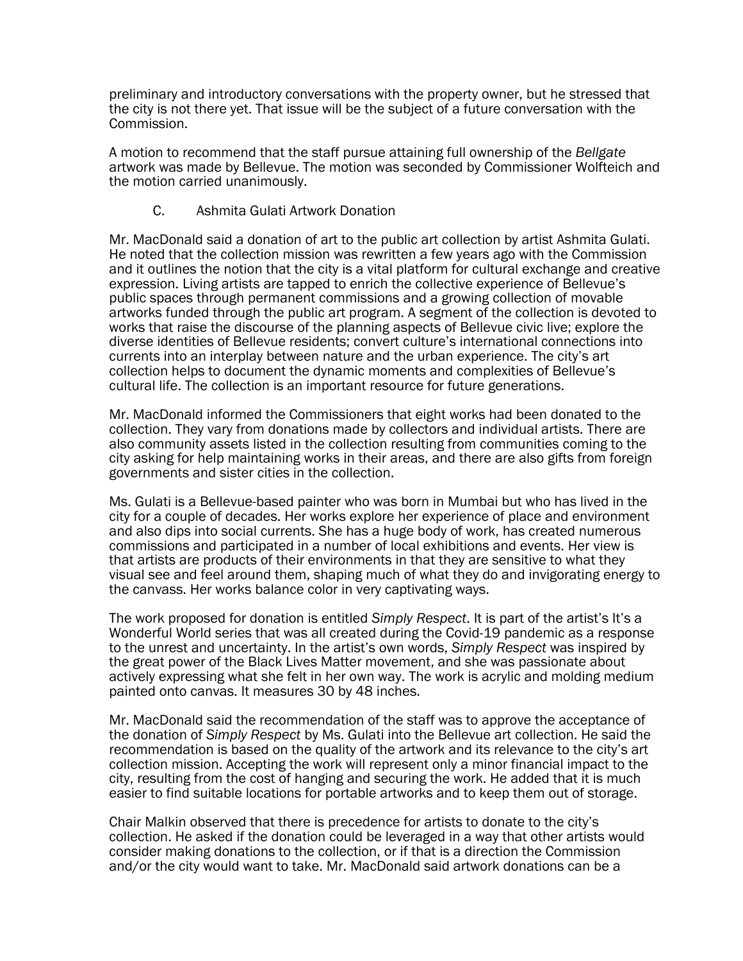preliminary and introductory conversations with the property owner, but he stressed that the city is not there yet. That issue will be the subject of a future conversation with the Commission.

A motion to recommend that the staff pursue attaining full ownership of the *Bellgate* artwork was made by Bellevue. The motion was seconded by Commissioner Wolfteich and the motion carried unanimously.

# C. Ashmita Gulati Artwork Donation

Mr. MacDonald said a donation of art to the public art collection by artist Ashmita Gulati. He noted that the collection mission was rewritten a few years ago with the Commission and it outlines the notion that the city is a vital platform for cultural exchange and creative expression. Living artists are tapped to enrich the collective experience of Bellevue's public spaces through permanent commissions and a growing collection of movable artworks funded through the public art program. A segment of the collection is devoted to works that raise the discourse of the planning aspects of Bellevue civic live; explore the diverse identities of Bellevue residents; convert culture's international connections into currents into an interplay between nature and the urban experience. The city's art collection helps to document the dynamic moments and complexities of Bellevue's cultural life. The collection is an important resource for future generations.

Mr. MacDonald informed the Commissioners that eight works had been donated to the collection. They vary from donations made by collectors and individual artists. There are also community assets listed in the collection resulting from communities coming to the city asking for help maintaining works in their areas, and there are also gifts from foreign governments and sister cities in the collection.

Ms. Gulati is a Bellevue-based painter who was born in Mumbai but who has lived in the city for a couple of decades. Her works explore her experience of place and environment and also dips into social currents. She has a huge body of work, has created numerous commissions and participated in a number of local exhibitions and events. Her view is that artists are products of their environments in that they are sensitive to what they visual see and feel around them, shaping much of what they do and invigorating energy to the canvass. Her works balance color in very captivating ways.

The work proposed for donation is entitled *Simply Respect*. It is part of the artist's It's a Wonderful World series that was all created during the Covid-19 pandemic as a response to the unrest and uncertainty. In the artist's own words, *Simply Respect* was inspired by the great power of the Black Lives Matter movement, and she was passionate about actively expressing what she felt in her own way. The work is acrylic and molding medium painted onto canvas. It measures 30 by 48 inches.

Mr. MacDonald said the recommendation of the staff was to approve the acceptance of the donation of *Simply Respect* by Ms. Gulati into the Bellevue art collection. He said the recommendation is based on the quality of the artwork and its relevance to the city's art collection mission. Accepting the work will represent only a minor financial impact to the city, resulting from the cost of hanging and securing the work. He added that it is much easier to find suitable locations for portable artworks and to keep them out of storage.

Chair Malkin observed that there is precedence for artists to donate to the city's collection. He asked if the donation could be leveraged in a way that other artists would consider making donations to the collection, or if that is a direction the Commission and/or the city would want to take. Mr. MacDonald said artwork donations can be a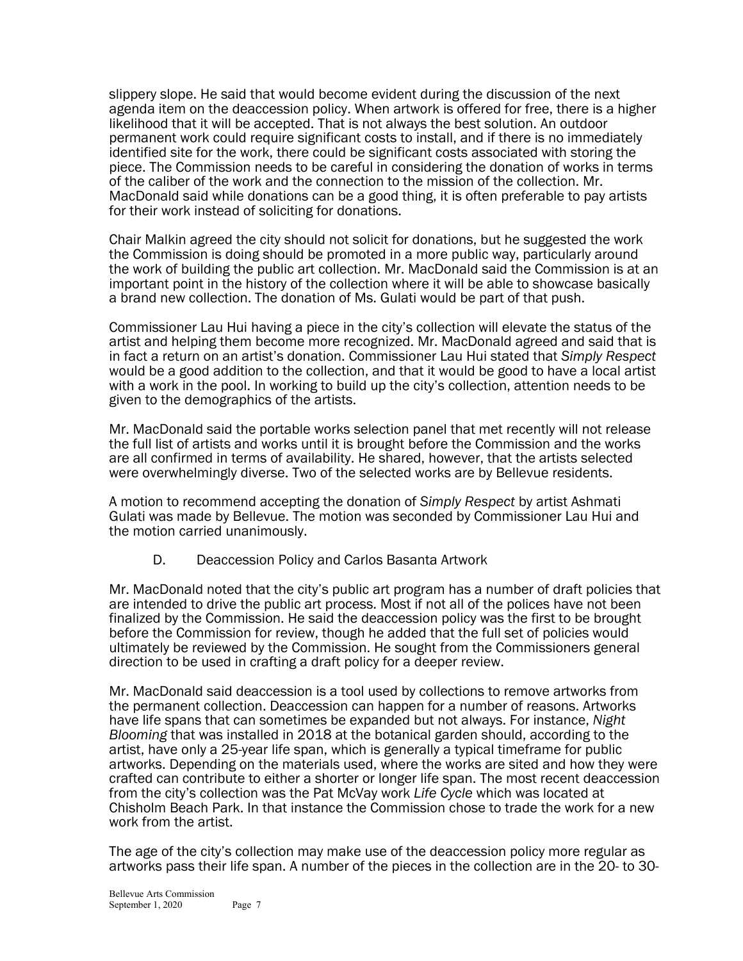slippery slope. He said that would become evident during the discussion of the next agenda item on the deaccession policy. When artwork is offered for free, there is a higher likelihood that it will be accepted. That is not always the best solution. An outdoor permanent work could require significant costs to install, and if there is no immediately identified site for the work, there could be significant costs associated with storing the piece. The Commission needs to be careful in considering the donation of works in terms of the caliber of the work and the connection to the mission of the collection. Mr. MacDonald said while donations can be a good thing, it is often preferable to pay artists for their work instead of soliciting for donations.

Chair Malkin agreed the city should not solicit for donations, but he suggested the work the Commission is doing should be promoted in a more public way, particularly around the work of building the public art collection. Mr. MacDonald said the Commission is at an important point in the history of the collection where it will be able to showcase basically a brand new collection. The donation of Ms. Gulati would be part of that push.

Commissioner Lau Hui having a piece in the city's collection will elevate the status of the artist and helping them become more recognized. Mr. MacDonald agreed and said that is in fact a return on an artist's donation. Commissioner Lau Hui stated that *Simply Respect* would be a good addition to the collection, and that it would be good to have a local artist with a work in the pool. In working to build up the city's collection, attention needs to be given to the demographics of the artists.

Mr. MacDonald said the portable works selection panel that met recently will not release the full list of artists and works until it is brought before the Commission and the works are all confirmed in terms of availability. He shared, however, that the artists selected were overwhelmingly diverse. Two of the selected works are by Bellevue residents.

A motion to recommend accepting the donation of *Simply Respect* by artist Ashmati Gulati was made by Bellevue. The motion was seconded by Commissioner Lau Hui and the motion carried unanimously.

D. Deaccession Policy and Carlos Basanta Artwork

Mr. MacDonald noted that the city's public art program has a number of draft policies that are intended to drive the public art process. Most if not all of the polices have not been finalized by the Commission. He said the deaccession policy was the first to be brought before the Commission for review, though he added that the full set of policies would ultimately be reviewed by the Commission. He sought from the Commissioners general direction to be used in crafting a draft policy for a deeper review.

Mr. MacDonald said deaccession is a tool used by collections to remove artworks from the permanent collection. Deaccession can happen for a number of reasons. Artworks have life spans that can sometimes be expanded but not always. For instance, *Night Blooming* that was installed in 2018 at the botanical garden should, according to the artist, have only a 25-year life span, which is generally a typical timeframe for public artworks. Depending on the materials used, where the works are sited and how they were crafted can contribute to either a shorter or longer life span. The most recent deaccession from the city's collection was the Pat McVay work *Life Cycle* which was located at Chisholm Beach Park. In that instance the Commission chose to trade the work for a new work from the artist.

The age of the city's collection may make use of the deaccession policy more regular as artworks pass their life span. A number of the pieces in the collection are in the 20- to 30-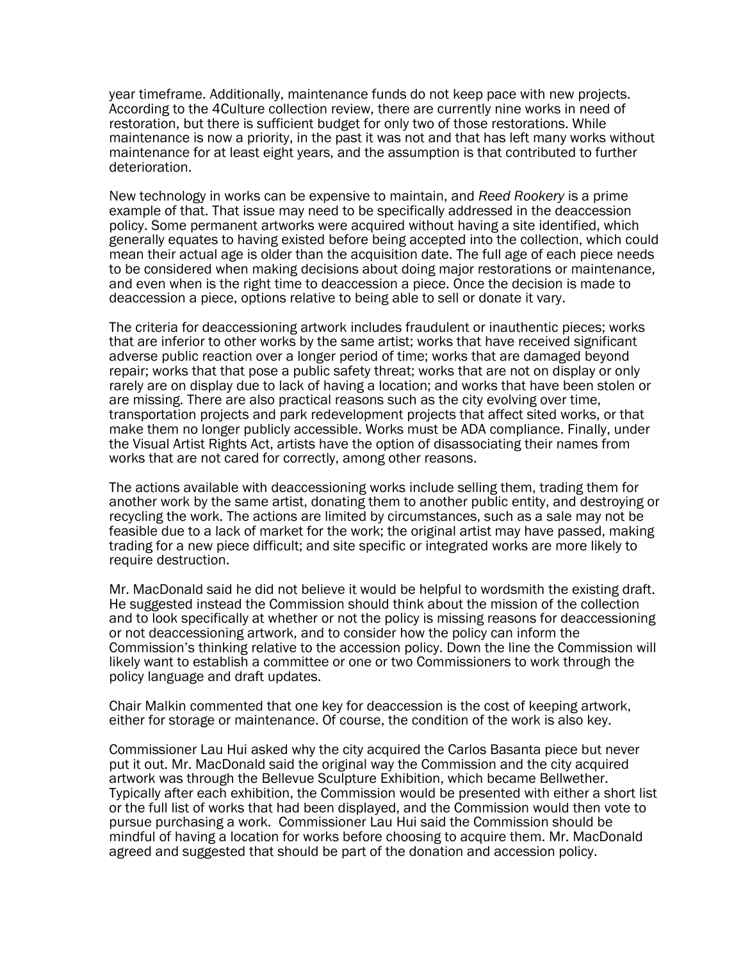year timeframe. Additionally, maintenance funds do not keep pace with new projects. According to the 4Culture collection review, there are currently nine works in need of restoration, but there is sufficient budget for only two of those restorations. While maintenance is now a priority, in the past it was not and that has left many works without maintenance for at least eight years, and the assumption is that contributed to further deterioration.

New technology in works can be expensive to maintain, and *Reed Rookery* is a prime example of that. That issue may need to be specifically addressed in the deaccession policy. Some permanent artworks were acquired without having a site identified, which generally equates to having existed before being accepted into the collection, which could mean their actual age is older than the acquisition date. The full age of each piece needs to be considered when making decisions about doing major restorations or maintenance, and even when is the right time to deaccession a piece. Once the decision is made to deaccession a piece, options relative to being able to sell or donate it vary.

The criteria for deaccessioning artwork includes fraudulent or inauthentic pieces; works that are inferior to other works by the same artist; works that have received significant adverse public reaction over a longer period of time; works that are damaged beyond repair; works that that pose a public safety threat; works that are not on display or only rarely are on display due to lack of having a location; and works that have been stolen or are missing. There are also practical reasons such as the city evolving over time, transportation projects and park redevelopment projects that affect sited works, or that make them no longer publicly accessible. Works must be ADA compliance. Finally, under the Visual Artist Rights Act, artists have the option of disassociating their names from works that are not cared for correctly, among other reasons.

The actions available with deaccessioning works include selling them, trading them for another work by the same artist, donating them to another public entity, and destroying or recycling the work. The actions are limited by circumstances, such as a sale may not be feasible due to a lack of market for the work; the original artist may have passed, making trading for a new piece difficult; and site specific or integrated works are more likely to require destruction.

Mr. MacDonald said he did not believe it would be helpful to wordsmith the existing draft. He suggested instead the Commission should think about the mission of the collection and to look specifically at whether or not the policy is missing reasons for deaccessioning or not deaccessioning artwork, and to consider how the policy can inform the Commission's thinking relative to the accession policy. Down the line the Commission will likely want to establish a committee or one or two Commissioners to work through the policy language and draft updates.

Chair Malkin commented that one key for deaccession is the cost of keeping artwork, either for storage or maintenance. Of course, the condition of the work is also key.

Commissioner Lau Hui asked why the city acquired the Carlos Basanta piece but never put it out. Mr. MacDonald said the original way the Commission and the city acquired artwork was through the Bellevue Sculpture Exhibition, which became Bellwether. Typically after each exhibition, the Commission would be presented with either a short list or the full list of works that had been displayed, and the Commission would then vote to pursue purchasing a work. Commissioner Lau Hui said the Commission should be mindful of having a location for works before choosing to acquire them. Mr. MacDonald agreed and suggested that should be part of the donation and accession policy.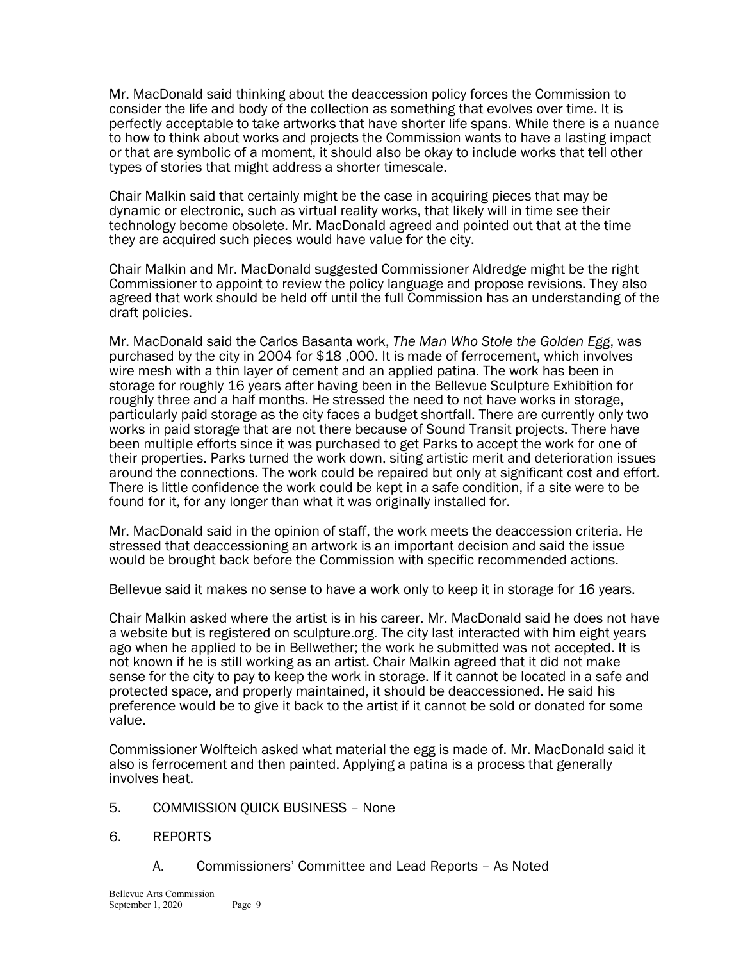Mr. MacDonald said thinking about the deaccession policy forces the Commission to consider the life and body of the collection as something that evolves over time. It is perfectly acceptable to take artworks that have shorter life spans. While there is a nuance to how to think about works and projects the Commission wants to have a lasting impact or that are symbolic of a moment, it should also be okay to include works that tell other types of stories that might address a shorter timescale.

Chair Malkin said that certainly might be the case in acquiring pieces that may be dynamic or electronic, such as virtual reality works, that likely will in time see their technology become obsolete. Mr. MacDonald agreed and pointed out that at the time they are acquired such pieces would have value for the city.

Chair Malkin and Mr. MacDonald suggested Commissioner Aldredge might be the right Commissioner to appoint to review the policy language and propose revisions. They also agreed that work should be held off until the full Commission has an understanding of the draft policies.

Mr. MacDonald said the Carlos Basanta work, *The Man Who Stole the Golden Egg*, was purchased by the city in 2004 for \$18 ,000. It is made of ferrocement, which involves wire mesh with a thin layer of cement and an applied patina. The work has been in storage for roughly 16 years after having been in the Bellevue Sculpture Exhibition for roughly three and a half months. He stressed the need to not have works in storage, particularly paid storage as the city faces a budget shortfall. There are currently only two works in paid storage that are not there because of Sound Transit projects. There have been multiple efforts since it was purchased to get Parks to accept the work for one of their properties. Parks turned the work down, siting artistic merit and deterioration issues around the connections. The work could be repaired but only at significant cost and effort. There is little confidence the work could be kept in a safe condition, if a site were to be found for it, for any longer than what it was originally installed for.

Mr. MacDonald said in the opinion of staff, the work meets the deaccession criteria. He stressed that deaccessioning an artwork is an important decision and said the issue would be brought back before the Commission with specific recommended actions.

Bellevue said it makes no sense to have a work only to keep it in storage for 16 years.

Chair Malkin asked where the artist is in his career. Mr. MacDonald said he does not have a website but is registered on sculpture.org. The city last interacted with him eight years ago when he applied to be in Bellwether; the work he submitted was not accepted. It is not known if he is still working as an artist. Chair Malkin agreed that it did not make sense for the city to pay to keep the work in storage. If it cannot be located in a safe and protected space, and properly maintained, it should be deaccessioned. He said his preference would be to give it back to the artist if it cannot be sold or donated for some value.

Commissioner Wolfteich asked what material the egg is made of. Mr. MacDonald said it also is ferrocement and then painted. Applying a patina is a process that generally involves heat.

5. COMMISSION QUICK BUSINESS – None

# 6. REPORTS

A. Commissioners' Committee and Lead Reports – As Noted